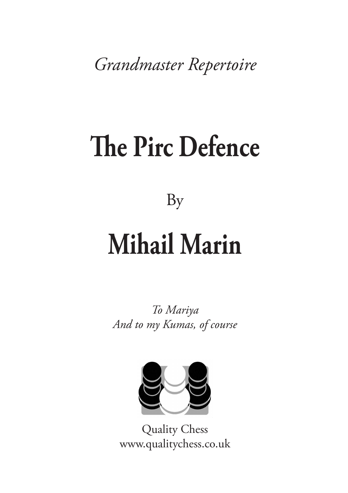*Grandmaster Repertoire*

## **[The Pirc Defence](http://www.qualitychess.co.uk/products/1/305/the_pirc_defence_by_mihail_marin/)**

[By](http://www.qualitychess.co.uk/products/1/305/the_pirc_defence_by_mihail_marin/)

### **[Mihail Marin](http://www.qualitychess.co.uk/products/1/305/the_pirc_defence_by_mihail_marin/)**

*To Mariya And to my Kumas, of course*



[Quality Chess](http://www.qualitychess.co.uk/) [www.qualitychess.co.uk](http://www.qualitychess.co.uk/)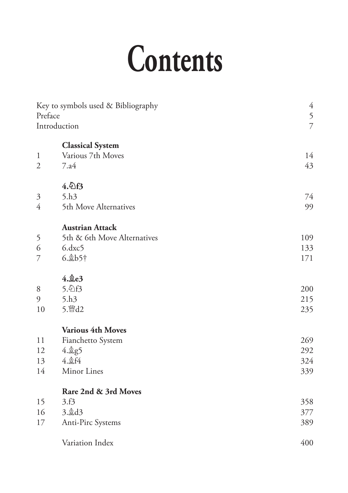# **Contents**

| Preface<br>Introduction        | Key to symbols used & Bibliography           | $\overline{4}$<br>5<br>$\overline{7}$ |
|--------------------------------|----------------------------------------------|---------------------------------------|
|                                |                                              |                                       |
|                                | <b>Classical System</b><br>Various 7th Moves | 14                                    |
| $\mathbf{1}$<br>$\overline{2}$ | 7.a4                                         | 43                                    |
|                                |                                              |                                       |
|                                | 4.2f3                                        |                                       |
| $\mathfrak{Z}$                 | 5.h3                                         | 74                                    |
| $\overline{4}$                 | 5th Move Alternatives                        | 99                                    |
|                                |                                              |                                       |
|                                | <b>Austrian Attack</b>                       |                                       |
| 5                              | 5th & 6th Move Alternatives                  | 109                                   |
| 6                              | $6.$ dx $c5$                                 | 133                                   |
| 7                              | $6.\&b5\dagger$                              | 171                                   |
|                                | $4.\n$ ge $3$                                |                                       |
| 8                              | 5.2f3                                        | 200                                   |
| 9                              | 5.h <sub>3</sub>                             | 215                                   |
| 10                             | 5. 暨d2                                       | 235                                   |
|                                | <b>Various 4th Moves</b>                     |                                       |
| 11                             | Fianchetto System                            | 269                                   |
| 12                             | 4. g5                                        | 292                                   |
| 13                             | 4. gf4                                       | 324                                   |
| 14                             | Minor Lines                                  | 339                                   |
|                                |                                              |                                       |
|                                | Rare 2nd & 3rd Moves                         |                                       |
| 15                             | 3.f3                                         | 358                                   |
| 16                             | $3.\n$                                       | 377                                   |
| 17                             | Anti-Pirc Systems                            | 389                                   |
|                                | Variation Index                              | 400                                   |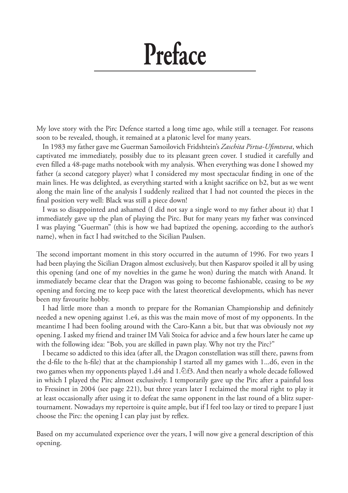### **Preface**

My love story with the Pirc Defence started a long time ago, while still a teenager. For reasons soon to be revealed, though, it remained at a platonic level for many years.

In 1983 my father gave me Guerman Samoilovich Fridshtein's *Zaschita Pirtsa-Ufimtseva*, which captivated me immediately, possibly due to its pleasant green cover. I studied it carefully and even filled a 48-page maths notebook with my analysis. When everything was done I showed my father (a second category player) what I considered my most spectacular finding in one of the main lines. He was delighted, as everything started with a knight sacrifice on b2, but as we went along the main line of the analysis I suddenly realized that I had not counted the pieces in the final position very well: Black was still a piece down!

I was so disappointed and ashamed (I did not say a single word to my father about it) that I immediately gave up the plan of playing the Pirc. But for many years my father was convinced I was playing "Guerman" (this is how we had baptized the opening, according to the author's name), when in fact I had switched to the Sicilian Paulsen.

The second important moment in this story occurred in the autumn of 1996. For two years I had been playing the Sicilian Dragon almost exclusively, but then Kasparov spoiled it all by using this opening (and one of my novelties in the game he won) during the match with Anand. It immediately became clear that the Dragon was going to become fashionable, ceasing to be *my* opening and forcing me to keep pace with the latest theoretical developments, which has never been my favourite hobby.

I had little more than a month to prepare for the Romanian Championship and definitely needed a new opening against 1.e4, as this was the main move of most of my opponents. In the meantime I had been fooling around with the Caro-Kann a bit, but that was obviously not *my* opening. I asked my friend and trainer IM Vali Stoica for advice and a few hours later he came up with the following idea: "Bob, you are skilled in pawn play. Why not try the Pirc?"

I became so addicted to this idea (after all, the Dragon constellation was still there, pawns from the d-file to the h-file) that at the championship I started all my games with 1...d6, even in the two games when my opponents played 1.d4 and 1. $\&$ f3. And then nearly a whole decade followed in which I played the Pirc almost exclusively. I temporarily gave up the Pirc after a painful loss to Fressinet in 2004 (see page 221), but three years later I reclaimed the moral right to play it at least occasionally after using it to defeat the same opponent in the last round of a blitz supertournament. Nowadays my repertoire is quite ample, but if I feel too lazy or tired to prepare I just choose the Pirc: the opening I can play just by reflex.

Based on my accumulated experience over the years, I will now give a general description of this opening.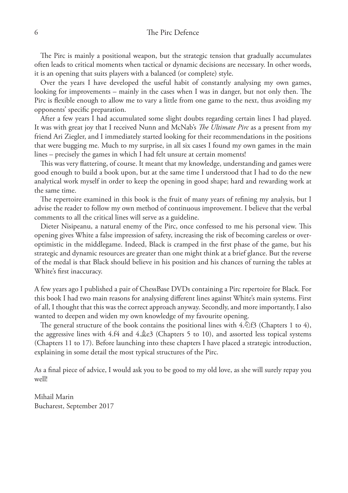#### 6 The Pirc Defence

The Pirc is mainly a positional weapon, but the strategic tension that gradually accumulates often leads to critical moments when tactical or dynamic decisions are necessary. In other words, it is an opening that suits players with a balanced (or complete) style.

Over the years I have developed the useful habit of constantly analysing my own games, looking for improvements – mainly in the cases when I was in danger, but not only then. The Pirc is flexible enough to allow me to vary a little from one game to the next, thus avoiding my opponents' specific preparation.

After a few years I had accumulated some slight doubts regarding certain lines I had played. It was with great joy that I received Nunn and McNab's *The Ultimate Pirc* as a present from my friend Ari Ziegler, and I immediately started looking for their recommendations in the positions that were bugging me. Much to my surprise, in all six cases I found my own games in the main lines – precisely the games in which I had felt unsure at certain moments!

This was very flattering, of course. It meant that my knowledge, understanding and games were good enough to build a book upon, but at the same time I understood that I had to do the new analytical work myself in order to keep the opening in good shape; hard and rewarding work at the same time.

The repertoire examined in this book is the fruit of many years of refining my analysis, but I advise the reader to follow my own method of continuous improvement. I believe that the verbal comments to all the critical lines will serve as a guideline.

Dieter Nisipeanu, a natural enemy of the Pirc, once confessed to me his personal view. This opening gives White a false impression of safety, increasing the risk of becoming careless or overoptimistic in the middlegame. Indeed, Black is cramped in the first phase of the game, but his strategic and dynamic resources are greater than one might think at a brief glance. But the reverse of the medal is that Black should believe in his position and his chances of turning the tables at White's first inaccuracy.

A few years ago I published a pair of ChessBase DVDs containing a Pirc repertoire for Black. For this book I had two main reasons for analysing different lines against White's main systems. First of all, I thought that this was the correct approach anyway. Secondly, and more importantly, I also wanted to deepen and widen my own knowledge of my favourite opening.

The general structure of the book contains the positional lines with  $4.\mathbb{Q}$  f3 (Chapters 1 to 4), the aggressive lines with 4.f4 and 4. $\&e3$  (Chapters 5 to 10), and assorted less topical systems (Chapters 11 to 17). Before launching into these chapters I have placed a strategic introduction, explaining in some detail the most typical structures of the Pirc.

As a final piece of advice, I would ask you to be good to my old love, as she will surely repay you well!

Mihail Marin Bucharest, September 2017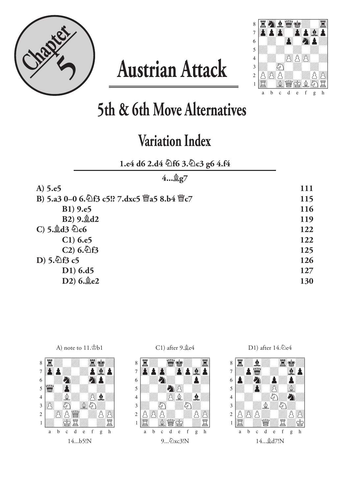

### **Austrian Attack**



**5th & 6th Move Alternatives**

### **Variation Index**

**1.e4 d6 2.d4 ¤f6 3.¤c3 g6 4.f4**

| 42g7                                       |     |
|--------------------------------------------|-----|
| A) 5.e5                                    | 111 |
| B) 5.a3 0-0 6. 行3 c5!? 7.dxc5 曾a5 8.b4 曾c7 | 115 |
| B1) 9.e5                                   | 116 |
| B2) 9. gd2                                 | 119 |
| C) 5. $\&$ d3 $\&$ c6                      | 122 |
| $C1)$ 6.e5                                 | 122 |
| $C2)$ 6. $E3$                              | 125 |
| $D)$ 5. $\frac{1}{2}$ f3 c5                | 126 |
| $D1)$ 6.d5                                 | 127 |
| D2) 6. e2                                  | 130 |
|                                            |     |





C1) after  $9.\text{\AA}e4$ 



D1) after 14.4e4

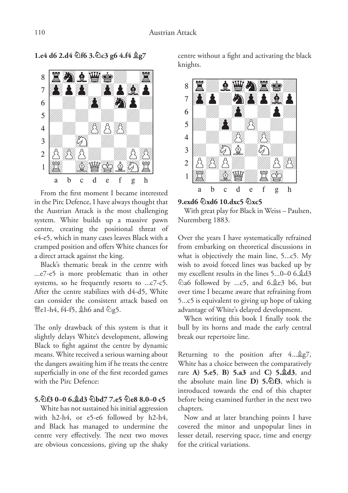**1.e4 d6 2.d4 ¤f6 3.¤c3 g6 4.f4 ¥g7**



From the first moment I became interested in the Pirc Defence, I have always thought that the Austrian Attack is the most challenging system. White builds up a massive pawn centre, creating the positional threat of e4-e5, which in many cases leaves Black with a cramped position and offers White chances for a direct attack against the king.

Black's thematic break in the centre with ...e7-e5 is more problematic than in other systems, so he frequently resorts to ...c7-c5. After the centre stabilizes with d4-d5, White can consider the consistent attack based on @e1-h4, f4-f5, \$h6 and \g5.

The only drawback of this system is that it slightly delays White's development, allowing Black to fight against the centre by dynamic means. White received a serious warning about the dangers awaiting him if he treats the centre superficially in one of the first recorded games with the Pirc Defence:

#### **5.¤f3 0–0 6.¥d3 ¤bd7 7.e5 ¤e8 8.0–0 c5**

White has not sustained his initial aggression with h2-h4, or e5-e6 followed by h2-h4, and Black has managed to undermine the centre very effectively. The next two moves are obvious concessions, giving up the shaky centre without a fight and activating the black knights.



#### **9.exd6 ¤xd6 10.dxc5 ¤xc5**

With great play for Black in Weiss – Paulsen, Nuremberg 1883.

Over the years I have systematically refrained from embarking on theoretical discussions in what is objectively the main line, 5...c5. My wish to avoid forced lines was backed up by my excellent results in the lines 5...0–0 6. ad3 ¤a6 followed by ...c5, and 6.¥e3 b6, but over time I became aware that refraining from 5...c5 is equivalent to giving up hope of taking advantage of White's delayed development.

When writing this book I finally took the bull by its horns and made the early central break our repertoire line.

Returning to the position after  $4...\overset{\mathbb{A}}{\otimes}g7$ , White has a choice between the comparatively rare **A) 5.e5**, **B) 5.a3** and **C) 5.¥d3**, and the absolute main line **D) 5.¤f3**, which is introduced towards the end of this chapter before being examined further in the next two chapters.

Now and at later branching points I have covered the minor and unpopular lines in lesser detail, reserving space, time and energy for the critical variations.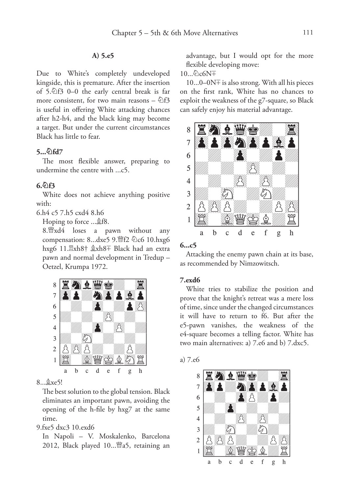#### **A) 5.e5**

Due to White's completely undeveloped kingside, this is premature. After the insertion of  $5.\overline{2}$ f3 0–0 the early central break is far more consistent, for two main reasons –  $\hat{\mathbb{Z}}$ f3 is useful in offering White attacking chances after h2-h4, and the black king may become a target. But under the current circumstances Black has little to fear.

#### **5...¤fd7**

The most flexible answer, preparing to undermine the centre with ...c5.

#### **6.¤f3**

White does not achieve anything positive with:

6.h4 c5 7.h5 cxd4 8.h6

Hoping to force ... \$f8.

8. xd4 loses a pawn without any compensation: 8...dxe5 9. 曾f2 公c6 10.hxg6 hxg6 11. xh8† &xh8+ Black had an extra pawn and normal development in Tredup – Oetzel, Krumpa 1972.



#### 8... gxe5!

The best solution to the global tension. Black eliminates an important pawn, avoiding the opening of the h-file by hxg7 at the same time.

#### 9.fxe5 dxc3 10.exd6

In Napoli – V. Moskalenko, Barcelona 2012, Black played 10... 幽a5, retaining an advantage, but I would opt for the more flexible developing move:

10... 2c6N<sup>+</sup>

 $10...0-0$ N $\pm$  is also strong. With all his pieces on the first rank, White has no chances to exploit the weakness of the g7-square, so Black can safely enjoy his material advantage.



#### **6...c5**

Attacking the enemy pawn chain at its base, as recommended by Nimzowitsch.

#### **7.exd6**

White tries to stabilize the position and prove that the knight's retreat was a mere loss of time, since under the changed circumstances it will have to return to f6. But after the e5-pawn vanishes, the weakness of the e4-square becomes a telling factor. White has two main alternatives: a) 7.e6 and b) 7.dxc5.



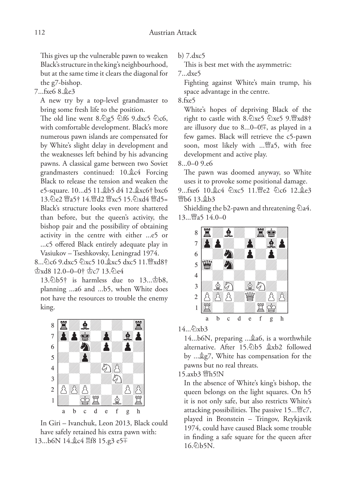This gives up the vulnerable pawn to weaken Black's structure in the king's neighbourhood, but at the same time it clears the diagonal for the g7-bishop.

#### 7...fxe6 8.¥e3

A new try by a top-level grandmaster to bring some fresh life to the position.

The old line went  $8.\overline{2}g5 \overline{2}f6$   $9.\overline{d}xc5 \overline{2}c6$ , with comfortable development. Black's more numerous pawn islands are compensated for by White's slight delay in development and the weaknesses left behind by his advancing pawns. A classical game between two Soviet grandmasters continued: 10.¥c4 Forcing Black to release the tension and weaken the e5-square. 10...d5 11. \$b5 d4 12. \$xc6† bxc6 13. De2 @a5† 14. @d2 @xc5 15. Dxd4 @d5= Black's structure looks even more shattered than before, but the queen's activity, the bishop pair and the possibility of obtaining activity in the centre with either ...e5 or ...c5 offered Black entirely adequate play in Vasiukov – Tseshkovsky, Leningrad 1974.

8... \c6 9.dxc5 \dxc5 10. \xc5 dxc5 11. \rxd8+  $\&xd8$  12.0–0–0†  $\&c7$  13. $\&e4$ 

13. $\Phi$ b5† is harmless due to 13... $\Phi$ b8, planning ...a6 and ...b5, when White does not have the resources to trouble the enemy king.



In Giri – Ivanchuk, Leon 2013, Black could have safely retained his extra pawn with: 13...b6N 14. gc4 骂f8 15.g3 e5<sup>T</sup>

b) 7.dxc5

This is best met with the asymmetric:

7...dxe5

Fighting against White's main trump, his space advantage in the centre.

8.fxe5

White's hopes of depriving Black of the right to castle with 8. $\triangle$ xe5  $\triangle$ xe5 9. $\angle$ xd8† are illusory due to 8...0–0! $\overline{F}$ , as played in a few games. Black will retrieve the c5-pawn soon, most likely with ...£a5, with free development and active play.

8...0–0 9.e6

The pawn was doomed anyway, so White uses it to provoke some positional damage.

9...fxe6 10. c4 4 xc5 11. Fe2 4 c6 12. c3 **\bo 13. \$b3** 

Shielding the b2-pawn and threatening  $\hat{\triangle}$ a4. 13... <sub>Ma5</sub> 14.0–0



14... 2xb3

14...b6N, preparing ... \$206, is a worthwhile alternative. After 15.¤b5 ¥xb2 followed by ...¥g7, White has compensation for the pawns but no real threats.

15.axb3 *暨h5!N* 

In the absence of White's king's bishop, the queen belongs on the light squares. On h5 it is not only safe, but also restricts White's attacking possibilities. The passive  $15...$ <sup>36</sup>c7, played in Bronstein – Tringov, Reykjavik 1974, could have caused Black some trouble in finding a safe square for the queen after  $16.$  $(b)5N$ .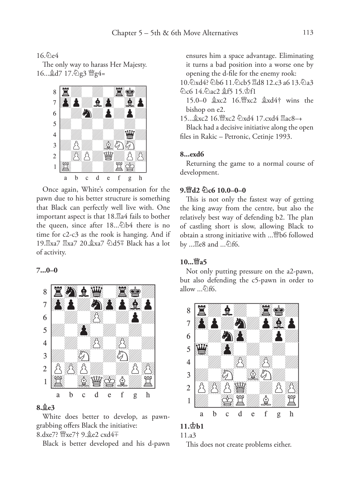#### $16.6$ e4

The only way to harass Her Majesty. 16... gd7 17. 2g3 曾g4=



Once again, White's compensation for the pawn due to his better structure is something that Black can perfectly well live with. One important aspect is that  $18.\mathbb{Z}$ a4 fails to bother the queen, since after 18... Db4 there is no time for c2-c3 as the rook is hanging. And if 19. xa7  $\mathbb{Z}$ xa7 20.  $\&$ xa7  $\&$ d5  $\bar{=}$  Black has a lot of activity.

#### **7...0–0**



#### **8.¥e3**

White does better to develop, as pawngrabbing offers Black the initiative: 8.dxe7? 營xe7† 9. e2 cxd4+

Black is better developed and his d-pawn

ensures him a space advantage. Eliminating it turns a bad position into a worse one by opening the d-file for the enemy rook:

10. $\Delta$ xd4?  $\Delta$ b6 11. $\Delta$ cb5  $\Xi$ d8 12.c3 a6 13. $\Delta$ a3 ¤c6 14.¤ac2 ¥f5 15.¢f1

15.0–0  $x \times 2$  16. xc2  $x \times 4$  wins the bishop on e2.

15... \$xc2 16. Wxc2  $\Diamond$ xd4 17. cxd4  $\Box$ ac8-+

Black had a decisive initiative along the open files in Rakic – Petronic, Cetinje 1993.

#### **8...exd6**

Returning the game to a normal course of development.

#### **9.£d2 ¤c6 10.0–0–0**

This is not only the fastest way of getting the king away from the centre, but also the relatively best way of defending b2. The plan of castling short is slow, allowing Black to obtain a strong initiative with ...£b6 followed by ...  $\Xi$ e8 and ... 2f6.

#### **10...£a5**

Not only putting pressure on the a2-pawn, but also defending the c5-pawn in order to allow  $\ldots \textcircled{2}$ f6.



#### **11.¢b1**

11.a3

This does not create problems either.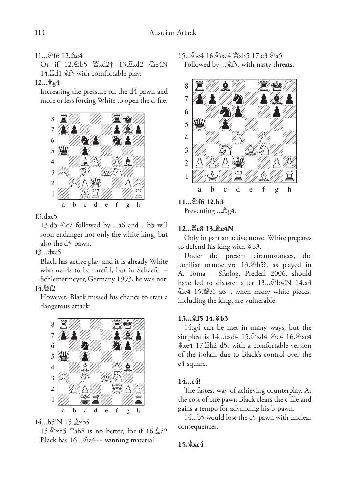#### 11... 2f6 12. gc4

Or if 12.2b5  $\frac{13.7}{13.7}$ xd2  $\frac{2}{13.4}$ 14. d1  $$f5$  with comfortable play.

12...¥g4

Increasing the pressure on the d4-pawn and more or less forcing White to open the d-file.



13.dxc5

13.d5  $\&e$ 7 followed by ...a6 and ...b5 will soon endanger not only the white king, but also the d5-pawn.

#### 13...dxc5

Black has active play and it is already White who needs to be careful, but in Schaefer – Schlemermeyer, Germany 1993, he was not: 14 *曾f*2

However, Black missed his chance to start a dangerous attack:



14...b5!N 15. \$xb5

15. $\triangle x$ b5  $\triangle 8$  is no better, for if 16. $\triangle 42$ Black has  $16...\&e4-+$  winning material.

15... De4 16. Dxe4 \"xb5 17.c3 2a5 Followed by ... \$f5, with nasty threats.



**11...¤f6 12.h3**

Preventing ... \$g4.

#### **12...¦e8 13.¥c4N**

Only in part an active move. White prepares to defend his king with \$b3.

Under the present circumstances, the familiar manoeuvre 13.¤b5?, as played in A. Toma – Sfarlog, Predeal 2006, should have led to disaster after 13... Db4!N 14.a3 ©e4 15. el a6<sup>∓</sup>, when many white pieces, including the king, are vulnerable.

#### **13...¥f5 14.¥b3**

14.g4 can be met in many ways, but the simplest is 14...cxd4 15. lxd4 2e4 16. lxe4  $$xe4$  17. Hh2 d5, with a comfortable version of the isolani due to Black's control over the e4-square.

#### **14...c4!**

The fastest way of achieving counterplay. At the cost of one pawn Black clears the c-file and gains a tempo for advancing his b-pawn.

14...b5 would lose the c5-pawn with unclear consequences.

#### **15.¥xc4**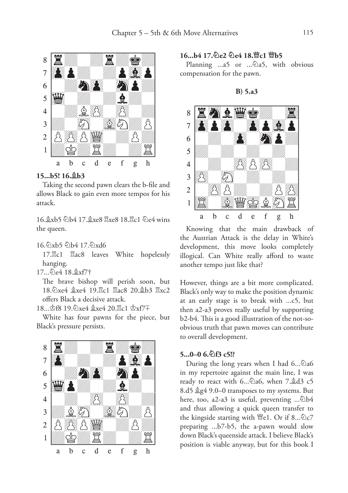

#### **15...b5! 16.¥b3**

Taking the second pawn clears the b-file and allows Black to gain even more tempos for his attack.

16. xb5 \b4 17. \$xe8 \\\ xxe8 18. \\ c1 \\ c4 wins the queen.

16.2xb5 2b4 17.2xd6

17. $\mathbb{Z}$ c1  $\mathbb{Z}$ ac8 leaves White hopelessly hanging.

17... De4 18. Åxf7†

The brave bishop will perish soon, but 18.4xe4  $\&x4$  19. c1 Eac8 20. b3 Exc2 offers Black a decisive attack.

18... f8 19. Dxe4 gxe4 20. Ec1 \$xf7+

White has four pawns for the piece, but Black's pressure persists.



#### **16...b4 17.¤e2 ¤e4 18.£c1 £b5**

Planning  $...a5$  or  $...\&a5$ , with obvious compensation for the pawn.

**B) 5.a3**

![](_page_10_Picture_14.jpeg)

Knowing that the main drawback of the Austrian Attack is the delay in White's development, this move looks completely

illogical. Can White really afford to waste

another tempo just like that?

However, things are a bit more complicated. Black's only way to make the position dynamic at an early stage is to break with ...c5, but then a2-a3 proves really useful by supporting b2-b4. This is a good illustration of the not-soobvious truth that pawn moves can contribute to overall development.

#### **5...0–0 6.¤f3 c5!?**

During the long years when I had  $6...\&36$ in my repertoire against the main line, I was ready to react with  $6...\text{\textdegree}2a6$ , when  $7.\text{\textdegree}2d3 c5$ 8.d5  $kg4$  9.0–0 transposes to my systems. But here, too, a2-a3 is useful, preventing  $\ldots\hat{\otimes}b4$ and thus allowing a quick queen transfer to the kingside starting with  $\mathbb{W}\in$ 1. Or if 8... $\mathbb{\&}c7$ preparing ...b7-b5, the a-pawn would slow down Black's queenside attack. I believe Black's position is viable anyway, but for this book I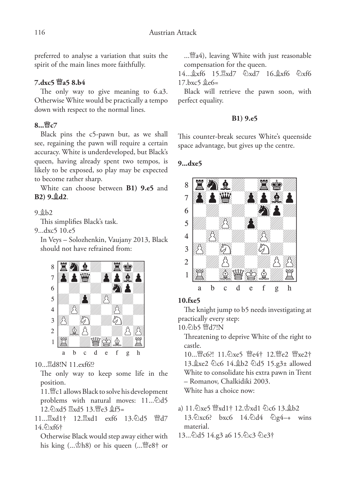preferred to analyse a variation that suits the spirit of the main lines more faithfully.

#### **7.dxc5 £a5 8.b4**

The only way to give meaning to 6.a3. Otherwise White would be practically a tempo down with respect to the normal lines.

#### **8...£c7**

Black pins the c5-pawn but, as we shall see, regaining the pawn will require a certain accuracy. White is underdeveloped, but Black's queen, having already spent two tempos, is likely to be exposed, so play may be expected to become rather sharp.

White can choose between **B1) 9.e5** and **B2) 9.¥d2**.

#### 9.¥b2

This simplifies Black's task.

9...dxc5 10.e5

In Veys – Solozhenkin, Vaujany 2013, Black should not have refrained from:

![](_page_11_Picture_11.jpeg)

10... gd8!N 11.exf6!?

The only way to keep some life in the position.

11. <a>
development<br/>
development<br/>
development<br/>  $\,$ problems with natural moves: 11... 4d5 12. axd5 2xd5 13. Fe3 \$f5=

11... $\mathbb{E}xd1\dagger$  12. $\mathbb{E}xd1$  exf6 13. $\mathbb{E}dd5$   $\mathbb{E}dd7$ 14.2xf6†

Otherwise Black would step away either with his king  $(...\&th8)$  or his queen  $(...\&th8)$  or ...£a4), leaving White with just reasonable compensation for the queen.

 $14...$  $\frac{6}{3}x66$   $15.$  $\frac{7}{3}xd7$   $\frac{6}{3}x66$   $\frac{6}{3}x66$  $17 \text{ h} \text{x}$ c5  $\text{\textdegree}$ e6=

Black will retrieve the pawn soon, with perfect equality.

#### **B1) 9.e5**

This counter-break secures White's queenside space advantage, but gives up the centre.

#### **9...dxe5**

![](_page_11_Picture_23.jpeg)

#### **10.fxe5**

The knight jump to b5 needs investigating at practically every step:

10.2b5 曾d7!N

Threatening to deprive White of the right to castle.

10... 曾c6?! 11. 公xe5 曾e4† 12. 曾e2 曾xe2† 13. xe2 ©c6 14. \$b2 ©d5 15. g3± allowed White to consolidate his extra pawn in Trent – Romanov, Chalkidiki 2003.

White has a choice now:

- a) 11.  $\&$ xe5  $\&$ xd1† 12. $\&$ xd1  $\&$ c6 13. $\&$ b2 13. Dxc6? bxc6 14. Dd4  $\hat{Q}g4$  -+ wins material.
- 13...@d5 14.g3 a6 15.@c3 @e3†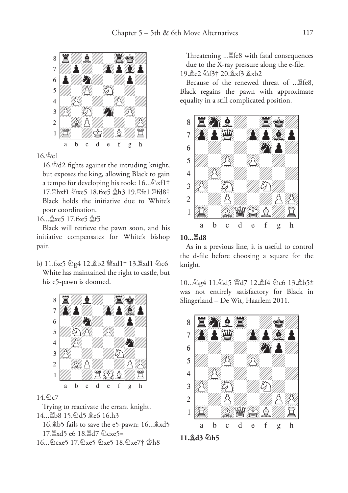![](_page_12_Picture_1.jpeg)

 $16 \, \text{A}$ c $1$ 

16.¢d2 fights against the intruding knight, but exposes the king, allowing Black to gain a tempo for developing his rook: 16... $\Delta x f1\dagger$ 17. Thxf1  $\&$ xe5 18.fxe5 \$h3 19. Tfe1 Tfd8† Black holds the initiative due to White's poor coordination.

16... gxe5 17.fxe5 gf5

Black will retrieve the pawn soon, and his initiative compensates for White's bishop pair.

b) 11.fxe5  $\frac{1}{2}$ g4 12. $\frac{1}{2}$ b2  $\frac{11}{2}$ xd1† 13. $\frac{13}{2}$ xd1  $\frac{1}{2}$ c6 White has maintained the right to castle, but his e5-pawn is doomed.

![](_page_12_Picture_7.jpeg)

#### 14. 2c7

Trying to reactivate the errant knight. 14... h8 15. h3 **ge6** 16.h3 16. $\&$ b5 fails to save the e5-pawn: 16... $\&$ xd5

17. $\mathbb{Z}$ xd5 e6 18. $\mathbb{Z}$ d7  $\mathbb{Q}$ cxe5=

16...©cxe5 17.©xe5 ©xe5 18.©xe7† \$h8

Threatening ...<sup>29</sup>fe8 with fatal consequences due to the X-ray pressure along the e-file. 19.¥e2 ¤f3† 20.¥xf3 ¥xb2

Because of the renewed threat of ....<sup>g</sup>fe8, Black regains the pawn with approximate equality in a still complicated position.

![](_page_12_Picture_14.jpeg)

#### **10...¦d8**

As in a previous line, it is useful to control the d-file before choosing a square for the knight.

10... 公g4 11. 公d5 曾d7 12. 盘f4 公c6 13. 兔b5± was not entirely satisfactory for Black in Slingerland – De Wit, Haarlem 2011.

![](_page_12_Picture_18.jpeg)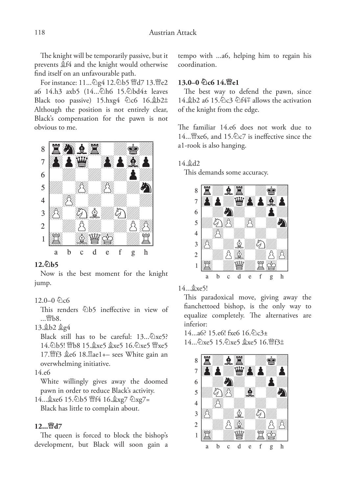The knight will be temporarily passive, but it prevents ¥f4 and the knight would otherwise find itself on an unfavourable path.

For instance: 11... 公g4 12. 公b5 曾d7 13. 曾e2 a6 14.h3 axb5 (14...... ah6 15.... abd4± leaves Black too passive)  $15 \cdot h \times 4$   $\&C6$   $16 \cdot 25 = 16$ Although the position is not entirely clear, Black's compensation for the pawn is not obvious to me.

![](_page_13_Picture_3.jpeg)

#### **12.¤b5**

Now is the best moment for the knight jump.

#### $12.0-0\%$ c6

This renders  $\ddot{\triangle} b5$  ineffective in view of ... *幽*b8.

#### 13.¥b2 ¥g4

Black still has to be careful:  $13...\&times5$ ? 14.9b5! Wh8 15. \$xe5 \$xe5 16. 9xe5 Wixe5 17. f3  $\&e6$  18.  $\&ae1+-$  sees White gain an overwhelming initiative.

#### 14.e6

White willingly gives away the doomed pawn in order to reduce Black's activity.

14... gxe6 15. 2b5 暨f4 16. gxg7 2xg7= Black has little to complain about.

#### **12...£d7**

The queen is forced to block the bishop's development, but Black will soon gain a

tempo with ...a6, helping him to regain his coordination.

#### **13.0–0 ¤c6 14.£e1**

The best way to defend the pawn, since 14. b2 a6 15. à c3 à f4<sup> $\mp$ </sup> allows the activation of the knight from the edge.

The familiar 14.e6 does not work due to 14... \capable xe6, and 15. \capable 2 is ineffective since the a1-rook is also hanging.

#### 14.¥d2

This demands some accuracy.

![](_page_13_Picture_21.jpeg)

14... &xe5!

This paradoxical move, giving away the fianchettoed bishop, is the only way to equalize completely. The alternatives are inferior:

 $14...a6$ ? 15.e6! fxe6  $16.\ˆ$ 14... 2xe5 15. 2xe5 \$xe5 16. lef3 ±

![](_page_13_Picture_25.jpeg)